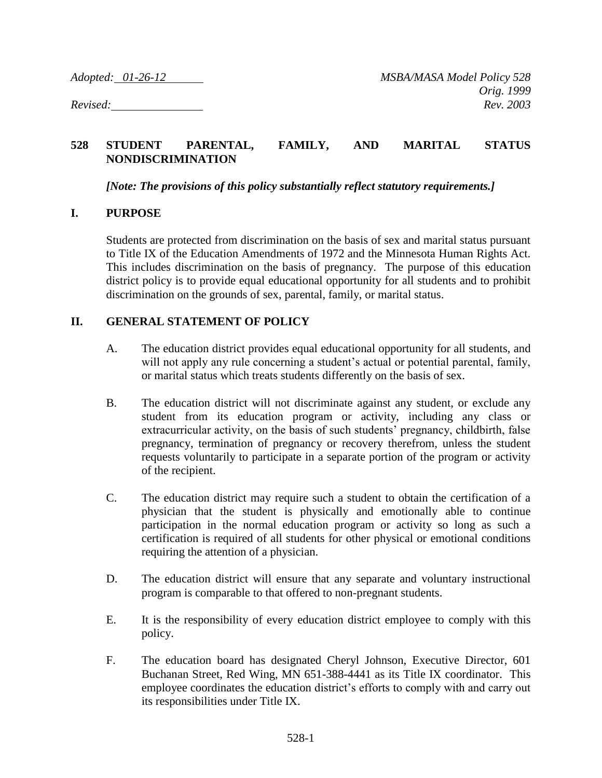## **528 STUDENT PARENTAL, FAMILY, AND MARITAL STATUS NONDISCRIMINATION**

*[Note: The provisions of this policy substantially reflect statutory requirements.]*

## **I. PURPOSE**

Students are protected from discrimination on the basis of sex and marital status pursuant to Title IX of the Education Amendments of 1972 and the Minnesota Human Rights Act. This includes discrimination on the basis of pregnancy. The purpose of this education district policy is to provide equal educational opportunity for all students and to prohibit discrimination on the grounds of sex, parental, family, or marital status.

## **II. GENERAL STATEMENT OF POLICY**

- A. The education district provides equal educational opportunity for all students, and will not apply any rule concerning a student's actual or potential parental, family, or marital status which treats students differently on the basis of sex.
- B. The education district will not discriminate against any student, or exclude any student from its education program or activity, including any class or extracurricular activity, on the basis of such students' pregnancy, childbirth, false pregnancy, termination of pregnancy or recovery therefrom, unless the student requests voluntarily to participate in a separate portion of the program or activity of the recipient.
- C. The education district may require such a student to obtain the certification of a physician that the student is physically and emotionally able to continue participation in the normal education program or activity so long as such a certification is required of all students for other physical or emotional conditions requiring the attention of a physician.
- D. The education district will ensure that any separate and voluntary instructional program is comparable to that offered to non-pregnant students.
- E. It is the responsibility of every education district employee to comply with this policy.
- F. The education board has designated Cheryl Johnson, Executive Director, 601 Buchanan Street, Red Wing, MN 651-388-4441 as its Title IX coordinator. This employee coordinates the education district's efforts to comply with and carry out its responsibilities under Title IX.